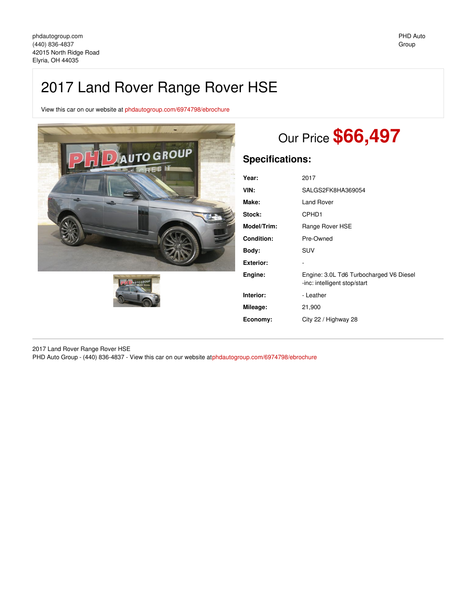# 2017 Land Rover Range Rover HSE

View this car on our website at [phdautogroup.com/6974798/ebrochure](https://phdautogroup.com/vehicle/6974798/2017-land-rover-range-rover-hse-elyria-oh-44035/6974798/ebrochure)





# Our Price **\$66,497**

### **Specifications:**

| Year:             | 2017                                                                    |
|-------------------|-------------------------------------------------------------------------|
| VIN:              | SALGS2FK8HA369054                                                       |
| Make:             | Land Rover                                                              |
| Stock:            | CPHD1                                                                   |
| Model/Trim:       | Range Rover HSE                                                         |
| <b>Condition:</b> | Pre-Owned                                                               |
| Body:             | SUV                                                                     |
| <b>Exterior:</b>  |                                                                         |
| Engine:           | Engine: 3.0L Td6 Turbocharged V6 Diesel<br>-inc: intelligent stop/start |
| Interior:         | - Leather                                                               |
| Mileage:          | 21,900                                                                  |
| Economy:          | City 22 / Highway 28                                                    |

2017 Land Rover Range Rover HSE

PHD Auto Group - (440) 836-4837 - View this car on our website at[phdautogroup.com/6974798/ebrochure](https://phdautogroup.com/vehicle/6974798/2017-land-rover-range-rover-hse-elyria-oh-44035/6974798/ebrochure)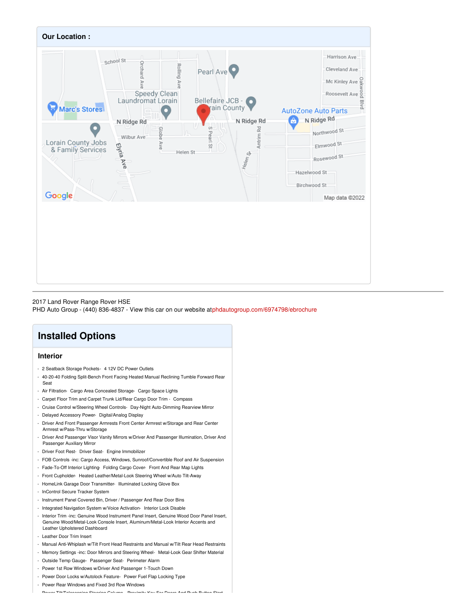

#### 2017 Land Rover Range Rover HSE

PHD Auto Group - (440) 836-4837 - View this car on our website at[phdautogroup.com/6974798/ebrochure](https://phdautogroup.com/vehicle/6974798/2017-land-rover-range-rover-hse-elyria-oh-44035/6974798/ebrochure)

## **Installed Options**

#### **Interior**

- 2 Seatback Storage Pockets- 4 12V DC Power Outlets
- 40-20-40 Folding Split-Bench Front Facing Heated Manual Reclining Tumble Forward Rear Seat
- Air Filtration- Cargo Area Concealed Storage- Cargo Space Lights
- Carpet Floor Trim and Carpet Trunk Lid/Rear Cargo Door Trim Compass
- Cruise Control w/Steering Wheel Controls- Day-Night Auto-Dimming Rearview Mirror
- Delayed Accessory Power- Digital/Analog Display
- Driver And Front Passenger Armrests Front Center Armrest w/Storage and Rear Center Armrest w/Pass-Thru w/Storage
- Driver And Passenger Visor Vanity Mirrors w/Driver And Passenger Illumination, Driver And Passenger Auxiliary Mirror
- Driver Foot Rest- Driver Seat- Engine Immobilizer
- FOB Controls -inc: Cargo Access, Windows, Sunroof/Convertible Roof and Air Suspension
- Fade-To-Off Interior Lighting- Folding Cargo Cover- Front And Rear Map Lights
- Front Cupholder- Heated Leather/Metal-Look Steering Wheel w/Auto Tilt-Away
- HomeLink Garage Door Transmitter- Illuminated Locking Glove Box
- InControl Secure Tracker System
- Instrument Panel Covered Bin, Driver / Passenger And Rear Door Bins
- Integrated Navigation System w/Voice Activation- Interior Lock Disable
- Interior Trim -inc: Genuine Wood Instrument Panel Insert, Genuine Wood Door Panel Insert, Genuine Wood/Metal-Look Console Insert, Aluminum/Metal-Look Interior Accents and Leather Upholstered Dashboard
- Leather Door Trim Insert
- Manual Anti-Whiplash w/Tilt Front Head Restraints and Manual w/Tilt Rear Head Restraints
- Memory Settings -inc: Door Mirrors and Steering Wheel- Metal-Look Gear Shifter Material
- Outside Temp Gauge- Passenger Seat- Perimeter Alarm
- Power 1st Row Windows w/Driver And Passenger 1-Touch Down
- Power Door Locks w/Autolock Feature- Power Fuel Flap Locking Type
- Power Rear Windows and Fixed 3rd Row Windows

- Power Tilt/Telescoping Steering Column- Proximity Key For Doors And Push Button Start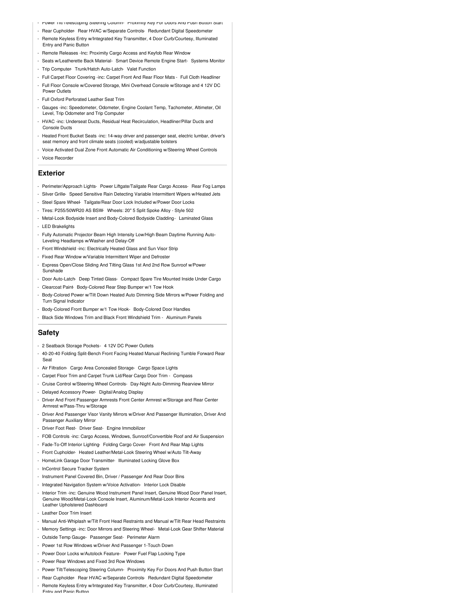- Power Tilt/Telescoping Steering Column- Proximity Key For Doors And Push Button Start
- Rear Cupholder- Rear HVAC w/Separate Controls- Redundant Digital Speedometer
- Remote Keyless Entry w/Integrated Key Transmitter, 4 Door Curb/Courtesy, Illuminated Entry and Panic Button
- Remote Releases -Inc: Proximity Cargo Access and Keyfob Rear Window
- Seats w/Leatherette Back Material- Smart Device Remote Engine Start- Systems Monitor - Trip Computer- Trunk/Hatch Auto-Latch- Valet Function
- Full Carpet Floor Covering -inc: Carpet Front And Rear Floor Mats Full Cloth Headliner
- Full Floor Console w/Covered Storage, Mini Overhead Console w/Storage and 4 12V DC Power Outlets
- Full Oxford Perforated Leather Seat Trim
- Gauges -inc: Speedometer, Odometer, Engine Coolant Temp, Tachometer, Altimeter, Oil Level, Trip Odometer and Trip Computer
- HVAC -inc: Underseat Ducts, Residual Heat Recirculation, Headliner/Pillar Ducts and Console Ducts
- Heated Front Bucket Seats -inc: 14-way driver and passenger seat, electric lumbar, driver's seat memory and front climate seats (cooled) w/adjustable bolsters
- Voice Activated Dual Zone Front Automatic Air Conditioning w/Steering Wheel Controls - Voice Recorder

#### **Exterior**

- Perimeter/Approach Lights- Power Liftgate/Tailgate Rear Cargo Access- Rear Fog Lamps
- Silver Grille- Speed Sensitive Rain Detecting Variable Intermittent Wipers w/Heated Jets
- Steel Spare Wheel- Tailgate/Rear Door Lock Included w/Power Door Locks
- Tires: P255/50WR20 AS BSW- Wheels: 20" 5 Split Spoke Alloy Style 502
- Metal-Look Bodyside Insert and Body-Colored Bodyside Cladding- Laminated Glass - LED Brakelights
- 
- Fully Automatic Projector Beam High Intensity Low/High Beam Daytime Running Auto-Leveling Headlamps w/Washer and Delay-Off
- Front Windshield -inc: Electrically Heated Glass and Sun Visor Strip
- Fixed Rear Window w/Variable Intermittent Wiper and Defroster
- Express Open/Close Sliding And Tilting Glass 1st And 2nd Row Sunroof w/Power Sunshade
- Door Auto-Latch- Deep Tinted Glass- Compact Spare Tire Mounted Inside Under Cargo
- Clearcoat Paint- Body-Colored Rear Step Bumper w/1 Tow Hook
- Body-Colored Power w/Tilt Down Heated Auto Dimming Side Mirrors w/Power Folding and **Turn Signal Indicator**
- Body-Colored Front Bumper w/1 Tow Hook- Body-Colored Door Handles
- Black Side Windows Trim and Black Front Windshield Trim Aluminum Panels

#### **Safety**

- 2 Seatback Storage Pockets- 4 12V DC Power Outlets
- 40-20-40 Folding Split-Bench Front Facing Heated Manual Reclining Tumble Forward Rear Seat
- Air Filtration- Cargo Area Concealed Storage- Cargo Space Lights
- Carpet Floor Trim and Carpet Trunk Lid/Rear Cargo Door Trim Compass
- Cruise Control w/Steering Wheel Controls- Day-Night Auto-Dimming Rearview Mirror
- Delayed Accessory Power- Digital/Analog Display
- Driver And Front Passenger Armrests Front Center Armrest w/Storage and Rear Center Armrest w/Pass-Thru w/Storage
- Driver And Passenger Visor Vanity Mirrors w/Driver And Passenger Illumination, Driver And Passenger Auxiliary Mirror
- Driver Foot Rest- Driver Seat- Engine Immobilizer
- FOB Controls -inc: Cargo Access, Windows, Sunroof/Convertible Roof and Air Suspension
- Fade-To-Off Interior Lighting- Folding Cargo Cover- Front And Rear Map Lights
- Front Cupholder- Heated Leather/Metal-Look Steering Wheel w/Auto Tilt-Away
- HomeLink Garage Door Transmitter- Illuminated Locking Glove Box
- InControl Secure Tracker System
- Instrument Panel Covered Bin, Driver / Passenger And Rear Door Bins
- Integrated Navigation System w/Voice Activation- Interior Lock Disable
- Interior Trim -inc: Genuine Wood Instrument Panel Insert, Genuine Wood Door Panel Insert, Genuine Wood/Metal-Look Console Insert, Aluminum/Metal-Look Interior Accents and Leather Upholstered Dashboard
- Leather Door Trim Insert
- Manual Anti-Whiplash w/Tilt Front Head Restraints and Manual w/Tilt Rear Head Restraints
- Memory Settings -inc: Door Mirrors and Steering Wheel- Metal-Look Gear Shifter Material
- Outside Temp Gauge- Passenger Seat- Perimeter Alarm
- Power 1st Row Windows w/Driver And Passenger 1-Touch Down
- Power Door Locks w/Autolock Feature- Power Fuel Flap Locking Type
- Power Rear Windows and Fixed 3rd Row Windows
- Power Tilt/Telescoping Steering Column- Proximity Key For Doors And Push Button Start
- Rear Cupholder- Rear HVAC w/Separate Controls- Redundant Digital Speedometer
- Remote Keyless Entry w/Integrated Key Transmitter, 4 Door Curb/Courtesy, Illuminated Entry and Panic Button